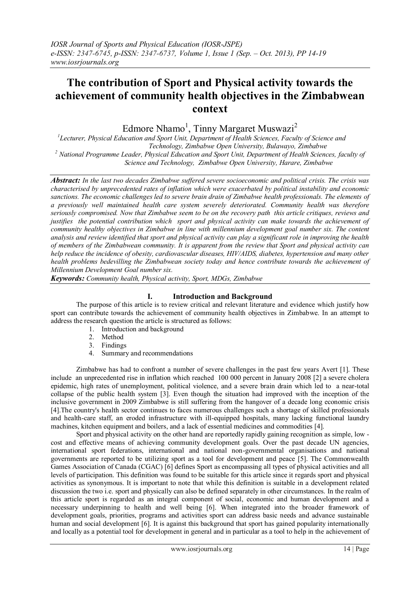# **The contribution of Sport and Physical activity towards the achievement of community health objectives in the Zimbabwean context**

Edmore Nhamo<sup>1</sup>, Tinny Margaret Muswazi<sup>2</sup>

*1 Lecturer, Physical Education and Sport Unit, Department of Health Sciences, Faculty of Science and Technology, Zimbabwe Open University, Bulawayo, Zimbabwe <sup>2</sup> National Programme Leader, Physical Education and Sport Unit, Department of Health Sciences, faculty of Science and Technology, Zimbabwe Open University, Harare, Zimbabwe*

*Abstract: In the last two decades Zimbabwe suffered severe socioeconomic and political crisis. The crisis was characterised by unprecedented rates of inflation which were exacerbated by political instability and economic sanctions. The economic challenges led to severe brain drain of Zimbabwe health professionals. The elements of a previously well maintained health care system severely deteriorated. Community health was therefore seriously compromised. Now that Zimbabwe seem to be on the recovery path this article critiques, reviews and justifies the potential contribution which sport and physical activity can make towards the achievement of community healthy objectives in Zimbabwe in line with millennium development goal number six. The content analysis and review identified that sport and physical activity can play a significant role in improving the health of members of the Zimbabwean community. It is apparent from the review that Sport and physical activity can help reduce the incidence of obesity, cardiovascular diseases, HIV/AIDS, diabetes, hypertension and many other health problems bedevilling the Zimbabwean society today and hence contribute towards the achievement of Millennium Development Goal number six.*

*Keywords: Community health, Physical activity, Sport, MDGs, Zimbabwe*

## **I. Introduction and Background**

The purpose of this article is to review critical and relevant literature and evidence which justify how sport can contribute towards the achievement of community health objectives in Zimbabwe. In an attempt to address the research question the article is structured as follows:

- 1. Introduction and background
- 2. Method
- 3. Findings
- 4. Summary and recommendations

Zimbabwe has had to confront a number of severe challenges in the past few years Avert [1]. These include an unprecedented rise in inflation which reached 100 000 percent in January 2008 [2] a severe cholera epidemic, high rates of unemployment, political violence, and a severe brain drain which led to a near-total collapse of the public health system [3]. Even though the situation had improved with the inception of the inclusive government in 2009 Zimbabwe is still suffering from the hangover of a decade long economic crisis [4].The country's health sector continues to faces numerous challenges such a shortage of skilled professionals and health-care staff, an eroded infrastructure with ill-equipped hospitals, many lacking functional laundry machines, kitchen equipment and boilers, and a lack of essential medicines and commodities [4].

Sport and physical activity on the other hand are reportedly rapidly gaining recognition as simple, low cost and effective means of achieving community development goals. Over the past decade UN agencies, international sport federations, international and national non-governmental organisations and national governments are reported to be utilizing sport as a tool for development and peace [5]. The Commonwealth Games Association of Canada (CGAC) [6] defines Sport as encompassing all types of physical activities and all levels of participation. This definition was found to be suitable for this article since it regards sport and physical activities as synonymous. It is important to note that while this definition is suitable in a development related discussion the two i.e. sport and physically can also be defined separately in other circumstances. In the realm of this article sport is regarded as an integral component of social, economic and human development and a necessary underpinning to health and well being [6]. When integrated into the broader framework of development goals, priorities, programs and activities sport can address basic needs and advance sustainable human and social development [6]. It is against this background that sport has gained popularity internationally and locally as a potential tool for development in general and in particular as a tool to help in the achievement of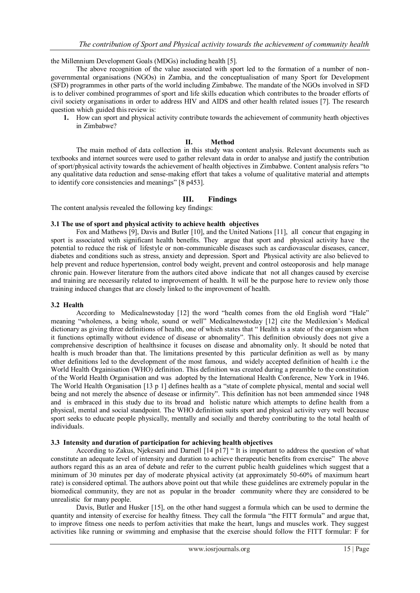the Millennium Development Goals (MDGs) including health [5].

The above recognition of the value associated with sport led to the formation of a number of nongovernmental organisations (NGOs) in Zambia, and the conceptualisation of many Sport for Development (SFD) programmes in other parts of the world including Zimbabwe. The mandate of the NGOs involved in SFD is to deliver combined programmes of sport and life skills education which contributes to the broader efforts of civil society organisations in order to address HIV and AIDS and other health related issues [7]. The research question which guided this review is:

**1.** How can sport and physical activity contribute towards the achievement of community heath objectives in Zimbabwe?

### **II. Method**

The main method of data collection in this study was content analysis. Relevant documents such as textbooks and internet sources were used to gather relevant data in order to analyse and justify the contribution of sport/physical activity towards the achievement of health objectives in Zimbabwe. Content analysis refers "to any qualitative data reduction and sense-making effort that takes a volume of qualitative material and attempts to identify core consistencies and meanings" [8 p453].

# **III. Findings**

The content analysis revealed the following key findings:

#### **3.1 The use of sport and physical activity to achieve health objectives**

Fox and Mathews [9], Davis and Butler [10], and the United Nations [11], all concur that engaging in sport is associated with significant health benefits. They argue that sport and physical activity have the potential to reduce the risk of lifestyle or non-communicable diseases such as cardiovascular diseases, cancer, diabetes and conditions such as stress, anxiety and depression. Sport and Physical activity are also believed to help prevent and reduce hypertension, control body weight, prevent and control osteoporosis and help manage chronic pain. However literature from the authors cited above indicate that not all changes caused by exercise and training are necessarily related to improvement of health. It will be the purpose here to review only those training induced changes that are closely linked to the improvement of health.

#### **3.2 Health**

According to Medicalnewstoday [12] the word "health comes from the old English word "Hale" meaning "wholeness, a being whole, sound or well" Medicalnewstoday [12] cite the Medilexion's Medical dictionary as giving three definitions of health, one of which states that "Health is a state of the organism when it functions optimally without evidence of disease or abnomality". This definition obviously does not give a comprehensive description of healthsince it focuses on disease and abnomality only. It should be noted that health is much broader than that. The limitations presented by this particular definition as well as by many other definitions led to the development of the most famous, and widely accepted definition of health i.e the World Health Orgainisation (WHO) definition. This definition was created during a preamble to the constitution of the World Health Organisation and was adopted by the International Health Conference, New York in 1946. The World Health Organisation [13 p 1] defines health as a "state of complete physical, mental and social well being and not merely the absence of desease or infirmity". This definition has not been ammended since 1948 and is embraced in this study due to its broad and holistic nature which attempts to define health from a physical, mental and social standpoint. The WHO definition suits sport and physical activity very well because sport seeks to educate people physically, mentally and socially and thereby contributing to the total health of individuals.

#### **3.3 Intensity and duration of participation for achieving health objectives**

According to Zakus, Njekesani and Darnell [14 p17] " It is important to address the question of what constitute an adequate level of intensity and duration to achieve therapeutic benefits from exercise" The above authors regard this as an area of debate and refer to the current public health guidelines which suggest that a minimum of 30 minutes per day of moderate physical activity (at approximately 50-60% of maximum heart rate) is considered optimal. The authors above point out that while these guidelines are extremely popular in the biomedical community, they are not as popular in the broader community where they are considered to be unrealistic for many people.

Davis, Butler and Husker [15], on the other hand suggest a formula which can be used to dermine the quantity and intensity of exercise for healthy fitness. They call the formula "the FITT formula" and argue that, to improve fitness one needs to perfom activities that make the heart, lungs and muscles work. They suggest activities like running or swimming and emphasise that the exercise should follow the FITT formular: F for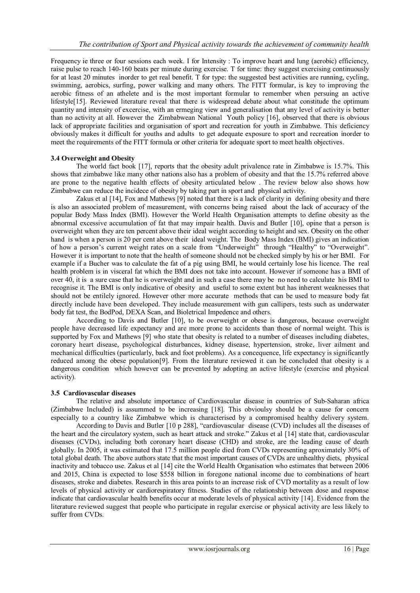Frequency ie three or four sessions each week. I for Intensity : To improve heart and lung (aerobic) efficiency, raise pulse to reach 140-160 beats per minute during exercise. T for time: they suggest exercising continuously for at least 20 minutes inorder to get real benefit. T for type: the suggested best activities are running, cycling, swimming, aerobics, surfing, power walking and many others. The FITT formular, is key to improving the aerobic fitness of an athelete and is the most important formular to remember when persuing an active lifestyle[15]. Reviewed literature reveal that there is widespread debate about what constitude the optimum quantity and intensity of excercise, with an ermeging view and generalisation that any level of activity is better than no activity at all. However the Zimbabwean National Youth policy [16], observed that there is obvious lack of appropriate facilities and organisation of sport and recreation for youth in Zimbabwe. This deficiency obviously makes it difficult for youths and adults to get adequate exposure to sport and recreation inorder to meet the requirements of the FITT formula or other criteria for adequate sport to meet health objectives.

## **3.4 Overweight and Obesity**

The world fact book [17], reports that the obesity adult privalence rate in Zimbabwe is 15.7%. This shows that zimbabwe like many other nations also has a problem of obesity and that the 15.7% referred above are prone to the negative health effects of obesity articulated below . The review below also shows how Zimbabwe can reduce the incidece of obesity by taking part in sport and physical activity.

Zakus et al [14], Fox and Mathews [9] noted that there is a lack of clarity in defining obesity and there is also an associated problem of measurement, with concerns being raised about the lack of accuracy of the popular Body Mass Index (BMI). However the World Health Organisation attempts to define obesity as the abnormal excessive accumulation of fat that may impair health. Davis and Butler [10], opine that a person is overweight when they are ten percent above their ideal weight according to height and sex. Obesity on the other hand is when a person is 20 per cent above their ideal weight. The Body Mass Index (BMI) gives an indication of how a person's current weight rates on a scale from "Underweight" through "Healthy" to "Overweight". However it is important to note that the health of someone should not be checked simply by his or her BMI. For example if a Bucher was to calculate the fat of a pig using BMI, he would certainly lose his licence. The real health problem is in visceral fat which the BMI does not take into account. However if someone has a BMI of over 40, it is a sure case that he is overweight and in such a case there may be no need to calculate his BMI to recognise it. The BMI is only indicative of obesity and useful to some extent but has inherent weaknesses that should not be entilely ignored. However other more accurate methods that can be used to measure body fat directly include have been developed. They include measurement with gun callipers, tests such as underwater body fat test, the BodPod, DEXA Scan, and Bioletrical Impedence and others.

According to Davis and Butler [10], to be overweight or obese is dangerous, because overweight people have decreased life expectancy and are more prone to accidents than those of normal weight. This is supported by Fox and Mathews [9] who state that obesity is related to a number of diseases including diabetes, coronary heart disease, psychological disturbances, kidney disease, hypertension, stroke, liver ailment and mechanical difficulties (particularly, back and foot problems). As a concequence, life expectancy is significantly reduced among the obese population[9]. From the literature reviewed it can be concluded that obesity is a dangerous condition which however can be prevented by adopting an active lifestyle (exercise and physical activity).

## **3.5 Cardiovascular diseases**

The relative and absolute importance of Cardiovascular disease in countries of Sub-Saharan africa (Zimbabwe Included) is assummed to be increasing [18]. This obvioulsy should be a cause for concern especially to a country like Zimbabwe which is characterised by a compromised healthy delivery system.

According to Davis and Butler [10 p 288], "cardiovascular disease (CVD) includes all the diseases of the heart and the circulatory system, such as heart attack and stroke." Zakus et al [14] state that, cardiovascular diseases (CVDs), including both coronary heart disease (CHD) and stroke, are the leading cause of death globally. In 2005, it was estimated that 17.5 million people died from CVDs representing aproximately 30% of total global death. The above authors state that the most important causes of CVDs are unhealthy diets, physical inactivity and tobacco use. Zakus et al [14] cite the World Health Organisation who estimates that between 2006 and 2015, China is expected to lose \$558 billion in foregone national income due to combinations of heart diseases, stroke and diabetes. Research in this area points to an increase risk of CVD mortality as a result of low levels of physical activity or cardiorespiratory fitness. Studies of the relationship between dose and response indicate that cardiovascular health benefits occur at moderate levels of physical activity [14]. Evidence from the literature reviewed suggest that people who participate in regular exercise or physical activity are less likely to suffer from CVDs.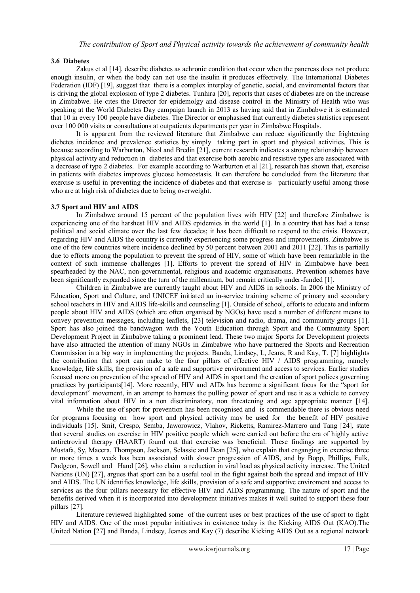## **3.6 Diabetes**

Zakus et al [14], describe diabetes as achronic condition that occur when the pancreas does not produce enough insulin, or when the body can not use the insulin it produces effectively. The International Diabetes Federation (IDF) [19], suggest that there is a complex interplay of genetic, social, and enviromental factors that is driving the global explosion of type 2 diabetes. Tunhira [20], reports that cases of diabetes are on the increase in Zimbabwe. He cites the Director for epidemolgy and disease control in the Ministry of Health who was speaking at the World Diabetes Day campaign launch in 2013 as having said that in Zimbabwe it is estimated that 10 in every 100 people have diabetes. The Director or emphasised that currently diabetes statistics represent over 100 000 visits or consultations at outpatients departments per year in Zimbabwe Hospitals.

It is apparent from the reviewed literature that Zimbabwe can reduce significantly the frightening diebetes incidence and prevalence statistics by simply taking part in sport and physical activities. This is because according to Warburton, Nicol and Bredin [21], current research indicates a strong relationship between physical activity and reduction in diabetes and that exercise both aerobic and resistive types are associated with a decrease of type 2 diabetes. For example according to Warburton et al [21], research has shown that, exercise in patients with diabetes improves glucose homeostasis. It can therefore be concluded from the literature that exercise is useful in preventing the incidence of diabetes and that exercise is particularly useful among those who are at high risk of diabetes due to being overweight.

# **3.7 Sport and HIV and AIDS**

In Zimbabwe around 15 percent of the population lives with HIV [22] and therefore Zimbabwe is experiencing one of the harshest HIV and AIDS epidemics in the world [1]. In a country that has had a tense political and social climate over the last few decades; it has been difficult to respond to the crisis. However, regarding HIV and AIDS the country is currently experiencing some progress and improvements. Zimbabwe is one of the few countries where incidence declined by 50 percent between 2001 and 2011 [22]. This is partially due to efforts among the population to prevent the spread of HIV, some of which have been remarkable in the context of such immense challenges [1]. Efforts to prevent the spread of HIV in Zimbabwe have been spearheaded by the NAC, non-governmental, religious and academic organisations. Prevention schemes have been significantly expanded since the turn of the millennium, but remain critically under-funded [1].

Children in Zimbabwe are currently taught about HIV and AIDS in schools. In 2006 the Ministry of Education, Sport and Culture, and UNICEF initiated an in-service training scheme of primary and secondary school teachers in HIV and AIDS life-skills and counseling [1]. Outside of school, efforts to educate and inform people about HIV and AIDS (which are often organised by NGOs) have used a number of different means to convey prevention messages, including leaflets, [23] television and radio, drama, and community groups [1]. Sport has also joined the bandwagon with the Youth Education through Sport and the Community Sport Development Project in Zimbabwe taking a prominent lead. These two major Sports for Development projects have also attracted the attention of many NGOs in Zimbabwe who have partnered the Sports and Recreation Commission in a big way in implementing the projects. Banda, Lindsey, L, Jeans, R and Kay, T. [7] highlights the contribution that sport can make to the four pillars of effective HIV / AIDS programming, namely knowledge, life skills, the provision of a safe and supportive environment and access to services. Earlier studies focused more on prevention of the spread of HIV and AIDS in sport and the creation of sport polices governing practices by participants[14]. More recently, HIV and AIDs has become a significant focus for the "sport for development" movement, in an attempt to harness the pulling power of sport and use it as a vehicle to convey vital information about HIV in a non discriminatory, non threatening and age appropriate manner [14].

While the use of sport for prevention has been recognised and is commendable there is obvious need for programs focusing on how sport and physical activity may be used for the benefit of HIV positive individuals [15]. Smit, Crespo, Semba, Jaworowicz, Vlahov, Ricketts, Ramirez-Marrero and Tang [24], state that several studies on exercise in HIV positive people which were carried out before the era of highly active antiretroviral therapy (HAART) found out that exercise was beneficial. These findings are supported by Mustafa, Sy, Macera, Thompson, Jackson, Selassie and Dean [25], who explain that enganging in exercise three or more times a week has been associated with slower progression of AIDS, and by Bopp, Phillips, Fulk, Dudgeon, Sowell and Hand [26], who claim a reduction in viral load as physical activity increase. The United Nations (UN) [27], argues that sport can be a useful tool in the fight against both the spread and impact of HIV and AIDS. The UN identifies knowledge, life skills, provision of a safe and supportive enviroment and access to services as the four pillars necessary for effective HIV and AIDS programming. The nature of sport and the benefits derived when it is incorporated into development initiatives makes it well suited to support these four pillars [27].

Literature reviewed highlighted some of the current uses or best practices of the use of sport to fight HIV and AIDS. One of the most popular initiatives in existence today is the Kicking AIDS Out (KAO).The United Nation [27] and Banda, Lindsey, Jeanes and Kay (7) describe Kicking AIDS Out as a regional network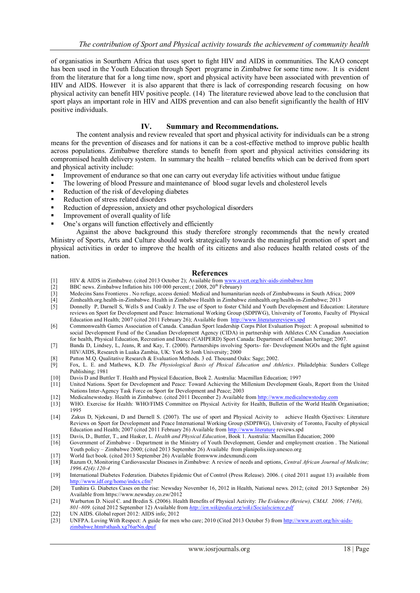of organisatios in Sourthern Africa that uses sport to fight HIV and AIDS in communities. The KAO concept has been used in the Youth Education through Sport programe in Zimbabwe for some time now. It is evident from the literature that for a long time now, sport and physical activity have been associated with prevention of HIV and AIDS. However it is also apparent that there is lack of corresponding research focusing on how physical activity can benefit HIV positive people. (14) The literature reviewed above lead to the conclusion that sport plays an important role in HIV and AIDS prevention and can also benefit significantly the health of HIV positive individuals.

### **IV. Summary and Recommendations.**

The content analysis and review revealed that sport and physical activity for individuals can be a strong means for the prevention of diseases and for nations it can be a cost-effective method to improve public health across populations. Zimbabwe therefore stands to benefit from sport and physical activities considering its compromised health delivery system.In summary the health – related benefits which can be derived from sport and physical activity include:

- Improvement of endurance so that one can carry out everyday life activities without undue fatigue
- The lowering of blood Pressure and maintenance of blood sugar levels and cholesterol levels
- Reduction of the risk of developing diabetes
- Reduction of stress related disorders
- Reduction of depression, anxiety and other psychological disorders
- Improvement of overall quality of life
- One's organs will function effectively and efficiently

Against the above background this study therefore strongly recommends that the newly created Ministry of Sports, Arts and Culture should work strategically towards the meaningful promotion of sport and physical activities in order to improve the health of its citizens and also reduces health related costs of the nation.

#### **References**

- [1] HIV & AIDS in Zimbabwe. (cited 2013 October 2); Available fro[m www.avert.org/hiv-aids-zimbabwe.htm](http://www.avert.org/hiv-aids-zimbabwe.htm) [2] BBC news. Zimbabwe Inflation hits 100 000 percent: (2008.  $20^{th}$  February)
	- BBC news. Zimbabwe Inflation hits 100 000 percent;  $(2008, 20^{th}$  February)
- [3] Medecins Sans Frontieres . No refuge, access denied: Medical and humanitarian needs of Zimbabweans in South Africa; 2009
- [4] Zimhealth.org.health-in-Zimbabwe. Health in Zimbabwe Health in Zimbabwe zimhealth.org/health-in-Zimbabwe; 2013
- [5] Donnelly P, Darnell S, Wells S and Coakly J. The use of Sport to foster Child and Youth Development and Education: Literature reviews on Sport for Development and Peace: International Working Group (SDPIWG), University of Toronto, Faculty of Physical Education and Health; 2007 (cited 2011 February 26); Available from [http://www.literaturereviews.spd](http://www.literaturereviews.spd/)
- [6] Commonwealth Games Association of Canada. Canadian Sport leadership Corps Pilot Evaluation Project: A proposal submitted to social Development Fund of the Canadian Development Agency (CIDA) in partnership with Athletes CAN Canadian Association for health, Physical Education, Recreation and Dance (CAHPERD) Sport Canada: Department of Canadian heritage; 2007.
- [7] Banda D, Lindsey, L, Jeans, R and Kay, T. (2000). Partnerships involving Sports- for- Development NGOs and the fight against HIV/AIDS, Research in Luaka Zambia, UK: York St Jonh University; 2000
- [8] Patton M.Q. Qualitative Research & Evaluation Methods. 3 ed. Thousand Oaks: Sage; 2002.
- [9] Fox, L. E. and Mathews, K.D. *The Physiological Basis of Phsical Education and Athletics*. Philadelphia: Sunders College Publishing; 1981
- [10] Davis D and Buttler T. Health and Physical Education, Book 2. Australia: Macmillan Education; 1997
- [11] United Nations. Sport for Development and Peace: Toward Achieving the Millenium Development Goals, Report from the United Nations Inter-Agency Task Force on Sport for Development and Peace; 2003
- [12] Medicalnewstoday. Health in Zimbabwe. (cited 2011 December 2) Available from [http://www.medicalnewstoday.com](http://www.medicalnewstoday.com/) [13] WHO. Exercise for Health: WHO/FIMS Committee on Physical Activity for Health, Bulletin of the World Hea
- WHO. Exercise for Health: WHO/FIMS Committee on Physical Activity for Health, Bulletin of the World Health Organisation; 1995
- [14] Zakus D, Njekesani, D and Darnell S. (2007). The use of sport and Physical Acivity to achieve Health Ojectives: Literature Reviews on Sport for Development and Peace International Working Group (SDPIWG), University of Toronto, Faculty of physical Education and Health; 2007 (cited 2011 February 26) Available from [http://www.literature](http://www.literature/) reviews.spd
- [15] Davis, D., Buttler, T., and Hasker, L. *Health and Physical Education*, Book 1. Australia: Macmillan Education; 2000
- [16] Government of Zimbabwe Department in the Ministry of Youth Development, Gender and employment creation . The National Youth policy – Zimbabwe 2000; (cited 2013 September 26) Available from planipolis.iiep.unesco.org
- [17] World fact book. (cited 2013 September 26) Available fromwww.indexmundi.com
- [18] Razum O, Monitoring Cardiovascular Diseases in Zimbabwe: A review of needs and options, *Central African Journal of Medicine; 1996.42(4):120-4*
- [19] International Diabetes Federation. Diabetes Epidemic Out of Control (Press Release). 2006. ( cited 2011 august 13) available from [http://www.idf.org/home/index.cfm?](http://www.idf.org/home/index.cfm)
- [20] Tunhira G. Diabetes Cases on the rise: Newsday November 16, 2012 in Health, National news. 2012; (cited 2013 September 26) Available from https://www.newsday.co.zw/2012
- [21] Warburton D. Nicol C. and Bredin S. (2006). Health Benefits of Physical Activity: *The Evidence (Review), CMAJ. 2006; 174(6), 801–809.* (cited 2012 September 12) Available from *<http://en.wikipedia.org/wiki/Socialscience.pdf>*
- [22] UN AIDS. Global report 2012: AIDS info; 2012<br>[23] UNFPA. Loving With Respect: A guide for men
- UNFPA. Loving With Respect: A guide for men who care; 2010 (Cited 2013 October 5) from [http://www.avert.org/hiv-aids](http://www.avert.org/hiv-aids-zimbabwe.htm#sthash.xg76arNn.dpuf)[zimbabwe.htm#sthash.xg76arNn.dpuf](http://www.avert.org/hiv-aids-zimbabwe.htm#sthash.xg76arNn.dpuf)